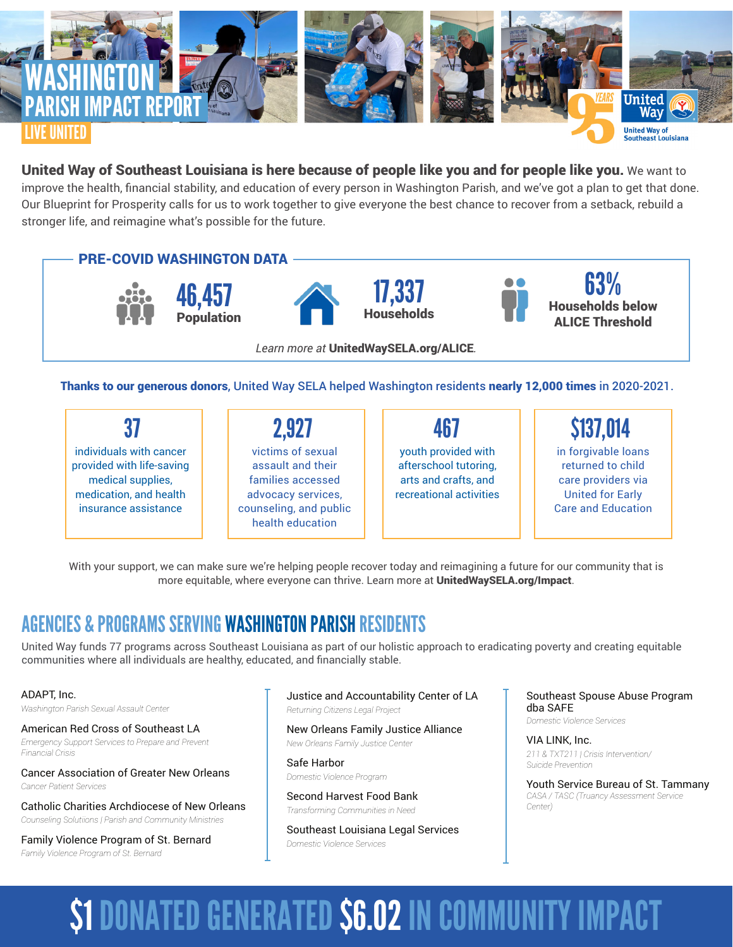

United Way of Southeast Louisiana is here because of people like you and for people like you. We want to improve the health, financial stability, and education of every person in Washington Parish, and we've got a plan to get that done. Our Blueprint for Prosperity calls for us to work together to give everyone the best chance to recover from a setback, rebuild a stronger life, and reimagine what's possible for the future.



individuals with cancer provided with life-saving medical supplies, medication, and health insurance assistance

37 || 2,927 || 467 victims of sexual assault and their families accessed advocacy services, counseling, and public health education 2,927

youth provided with afterschool tutoring, arts and crafts, and recreational activities

in forgivable loans returned to child care providers via United for Early Care and Education \$137,014

With your support, we can make sure we're helping people recover today and reimagining a future for our community that is more equitable, where everyone can thrive. Learn more at UnitedWaySELA.org/Impact.

## AGENCIES & PROGRAMS SERVING WASHINGTON PARISH RESIDENTS

United Way funds 77 programs across Southeast Louisiana as part of our holistic approach to eradicating poverty and creating equitable communities where all individuals are healthy, educated, and financially stable.

#### ADAPT, Inc.

*Washington Parish Sexual Assault Center*

American Red Cross of Southeast LA *Emergency Support Services to Prepare and Prevent Financial Crisis*

Cancer Association of Greater New Orleans *Cancer Patient Services*

Catholic Charities Archdiocese of New Orleans *Counseling Solutiions | Parish and Community Ministries*

Family Violence Program of St. Bernard *Family Violence Program of St. Bernard* 

Justice and Accountability Center of LA *Returning Citizens Legal Project*

New Orleans Family Justice Alliance *New Orleans Family Justice Center*

Safe Harbor *Domestic Violence Program*

Second Harvest Food Bank *Transforming Communities in Need*

Southeast Louisiana Legal Services *Domestic Violence Services*

Southeast Spouse Abuse Program dba SAFE *Domestic Violence Services*

VIA LINK, Inc. *211 & TXT211 | Crisis Intervention/ Suicide Prevention*

Youth Service Bureau of St. Tammany *CASA / TASC (Truancy Assessment Service Center)*

# \$1 DONATED GENERATED \$6.02 IN COMMUNITY IMPACT